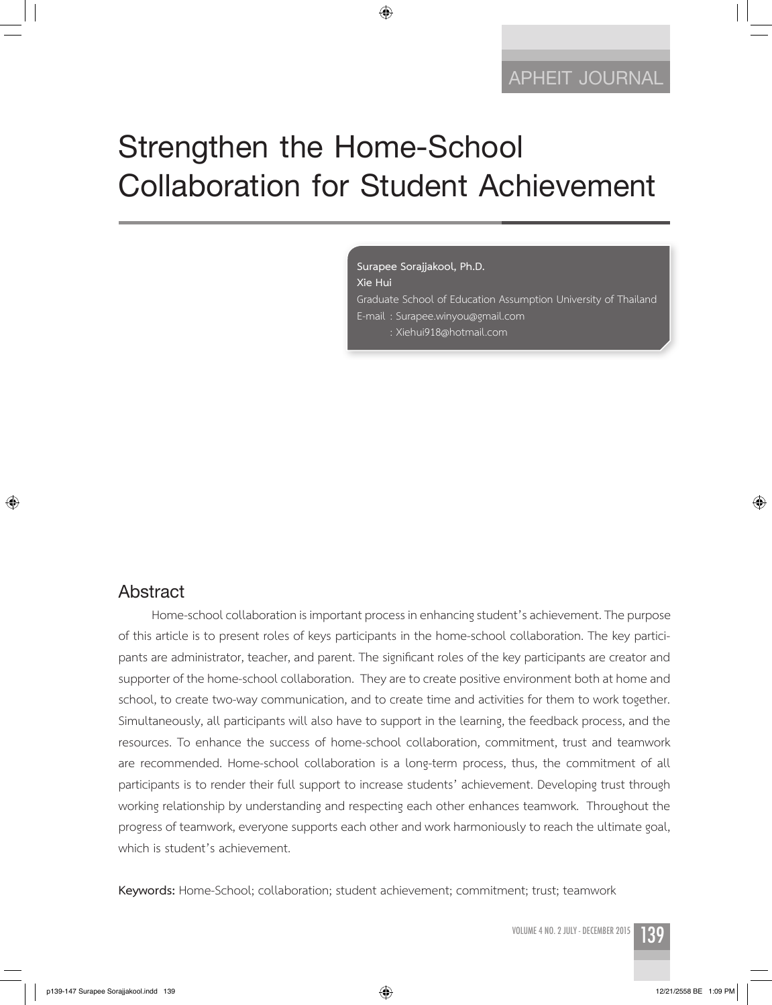# **Strengthen the Home-School Collaboration for Student Achievement**

◈

**Surapee Sorajjakool, Ph.D. Xie Hui** 

Graduate School of Education Assumption University of Thailand E-mail : Surapee.winyou@gmail.com : Xiehui918@hotmail.com

### **Abstract**

⊕

Home-school collaboration is important process in enhancing student's achievement. The purpose of this article is to present roles of keys participants in the home-school collaboration. The key participants are administrator, teacher, and parent. The significant roles of the key participants are creator and supporter of the home-school collaboration. They are to create positive environment both at home and school, to create two-way communication, and to create time and activities for them to work together. Simultaneously, all participants will also have to support in the learning, the feedback process, and the resources. To enhance the success of home-school collaboration, commitment, trust and teamwork are recommended. Home-school collaboration is a long-term process, thus, the commitment of all participants is to render their full support to increase students' achievement. Developing trust through working relationship by understanding and respecting each other enhances teamwork. Throughout the progress of teamwork, everyone supports each other and work harmoniously to reach the ultimate goal, which is student's achievement.

**Keywords:** Home-School; collaboration; student achievement; commitment; trust; teamwork

VOLUME 4 NO. 2 JULY - DECEMBER 2015

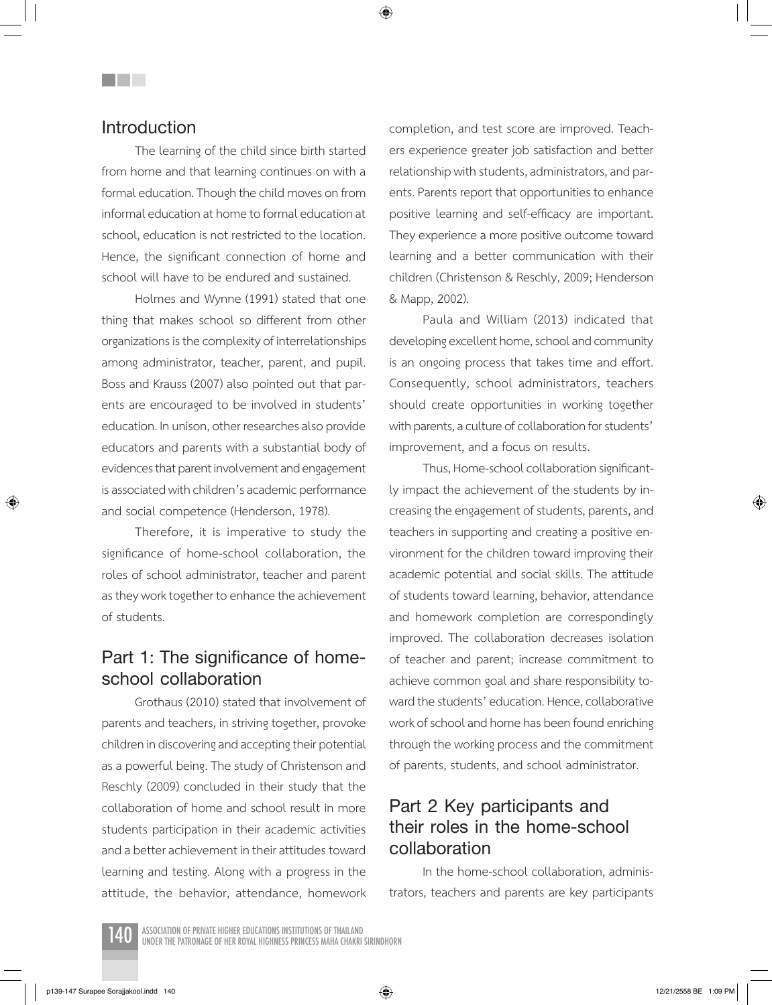### **Introduction**

The learning of the child since birth started from home and that learning continues on with a formal education. Though the child moves on from informal education at home to formal education at school, education is not restricted to the location. Hence, the significant connection of home and school will have to be endured and sustained.

Holmes and Wynne (1991) stated that one thing that makes school so different from other organizations is the complexity of interrelationships among administrator, teacher, parent, and pupil. Boss and Krauss (2007) also pointed out that parents are encouraged to be involved in students' education. In unison, other researches also provide educators and parents with a substantial body of evidences that parent involvement and engagement is associated with children's academic performance and social competence (Henderson, 1978).

Therefore, it is imperative to study the significance of home-school collaboration, the roles of school administrator, teacher and parent as they work together to enhance the achievement of students.

### **Part 1: The significance of homeschool collaboration**

Grothaus (2010) stated that involvement of parents and teachers, in striving together, provoke children in discovering and accepting their potential as a powerful being. The study of Christenson and Reschly (2009) concluded in their study that the collaboration of home and school result in more students participation in their academic activities and a better achievement in their attitudes toward learning and testing. Along with a progress in the attitude, the behavior, attendance, homework completion, and test score are improved. Teachers experience greater job satisfaction and better relationship with students, administrators, and parents. Parents report that opportunities to enhance positive learning and self-efficacy are important. They experience a more positive outcome toward learning and a better communication with their children (Christenson & Reschly, 2009; Henderson & Mapp, 2002).

Paula and William (2013) indicated that developing excellent home, school and community is an ongoing process that takes time and effort. Consequently, school administrators, teachers should create opportunities in working together with parents, a culture of collaboration for students' improvement, and a focus on results.

Thus, Home-school collaboration significantly impact the achievement of the students by increasing the engagement of students, parents, and teachers in supporting and creating a positive environment for the children toward improving their academic potential and social skills. The attitude of students toward learning, behavior, attendance and homework completion are correspondingly improved. The collaboration decreases isolation of teacher and parent; increase commitment to achieve common goal and share responsibility toward the students' education. Hence, collaborative work of school and home has been found enriching through the working process and the commitment of parents, students, and school administrator.

# **Part 2 Key participants and their roles in the home-school collaboration**

In the home-school collaboration, administrators, teachers and parents are key participants

⊕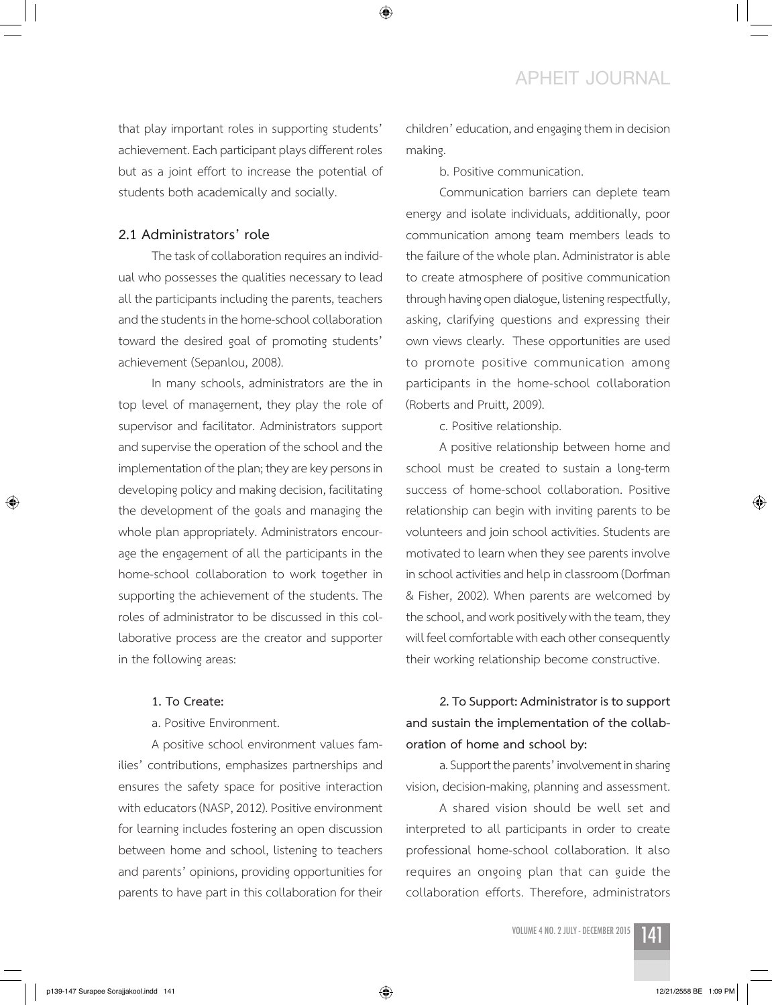### **APHEIT JOURNAL**

that play important roles in supporting students' achievement. Each participant plays different roles but as a joint effort to increase the potential of students both academically and socially.

#### **2.1 Administrators' role**

The task of collaboration requires an individual who possesses the qualities necessary to lead all the participants including the parents, teachers and the students in the home-school collaboration toward the desired goal of promoting students' achievement (Sepanlou, 2008).

In many schools, administrators are the in top level of management, they play the role of supervisor and facilitator. Administrators support and supervise the operation of the school and the implementation of the plan; they are key persons in developing policy and making decision, facilitating the development of the goals and managing the whole plan appropriately. Administrators encourage the engagement of all the participants in the home-school collaboration to work together in supporting the achievement of the students. The roles of administrator to be discussed in this collaborative process are the creator and supporter in the following areas:

#### **1. To Create:**

a. Positive Environment.

A positive school environment values families' contributions, emphasizes partnerships and ensures the safety space for positive interaction with educators (NASP, 2012). Positive environment for learning includes fostering an open discussion between home and school, listening to teachers and parents' opinions, providing opportunities for parents to have part in this collaboration for their

children' education, and engaging them in decision making.

b. Positive communication.

Communication barriers can deplete team energy and isolate individuals, additionally, poor communication among team members leads to the failure of the whole plan. Administrator is able to create atmosphere of positive communication through having open dialogue, listening respectfully, asking, clarifying questions and expressing their own views clearly. These opportunities are used to promote positive communication among participants in the home-school collaboration (Roberts and Pruitt, 2009).

c. Positive relationship.

A positive relationship between home and school must be created to sustain a long-term success of home-school collaboration. Positive relationship can begin with inviting parents to be volunteers and join school activities. Students are motivated to learn when they see parents involve in school activities and help in classroom (Dorfman & Fisher, 2002). When parents are welcomed by the school, and work positively with the team, they will feel comfortable with each other consequently their working relationship become constructive.

### **2. To Support: Administrator is to support and sustain the implementation of the collaboration of home and school by:**

a. Support the parents' involvement in sharing vision, decision-making, planning and assessment.

A shared vision should be well set and interpreted to all participants in order to create professional home-school collaboration. It also requires an ongoing plan that can guide the collaboration efforts. Therefore, administrators

volume 4 no. 2 july - december 2015 141



⊕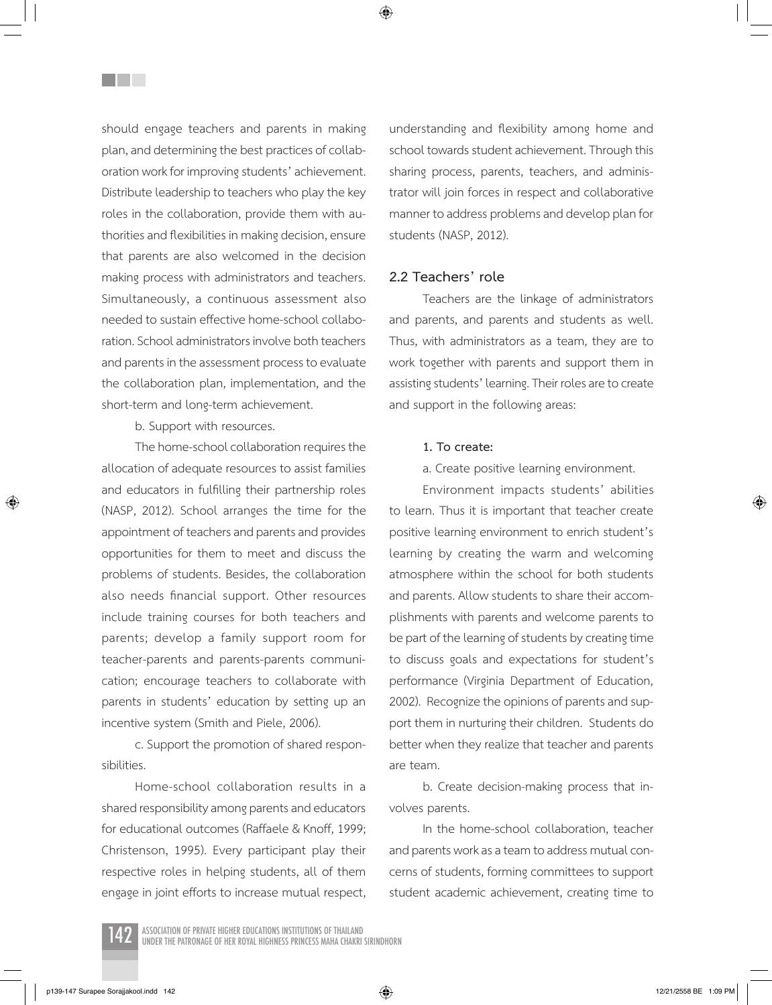should engage teachers and parents in making plan, and determining the best practices of collaboration work for improving students' achievement. Distribute leadership to teachers who play the key roles in the collaboration, provide them with authorities and flexibilities in making decision, ensure that parents are also welcomed in the decision making process with administrators and teachers. Simultaneously, a continuous assessment also needed to sustain effective home-school collaboration. School administrators involve both teachers and parents in the assessment process to evaluate the collaboration plan, implementation, and the short-term and long-term achievement.

<u>Filmer</u>

b. Support with resources.

The home-school collaboration requires the allocation of adequate resources to assist families and educators in fulfilling their partnership roles (NASP, 2012). School arranges the time for the appointment of teachers and parents and provides opportunities for them to meet and discuss the problems of students. Besides, the collaboration also needs financial support. Other resources include training courses for both teachers and parents; develop a family support room for teacher-parents and parents-parents communication; encourage teachers to collaborate with parents in students' education by setting up an incentive system (Smith and Piele, 2006).

c. Support the promotion of shared responsibilities.

Home-school collaboration results in a shared responsibility among parents and educators for educational outcomes (Raffaele & Knoff, 1999; Christenson, 1995). Every participant play their respective roles in helping students, all of them engage in joint efforts to increase mutual respect, understanding and flexibility among home and school towards student achievement. Through this sharing process, parents, teachers, and administrator will join forces in respect and collaborative manner to address problems and develop plan for students (NASP, 2012).

#### **2.2 Teachers' role**

Teachers are the linkage of administrators and parents, and parents and students as well. Thus, with administrators as a team, they are to work together with parents and support them in assisting students' learning. Their roles are to create and support in the following areas:

#### **1. To create:**

a. Create positive learning environment.

Environment impacts students' abilities to learn. Thus it is important that teacher create positive learning environment to enrich student's learning by creating the warm and welcoming atmosphere within the school for both students and parents. Allow students to share their accomplishments with parents and welcome parents to be part of the learning of students by creating time to discuss goals and expectations for student's performance (Virginia Department of Education, 2002). Recognize the opinions of parents and support them in nurturing their children. Students do better when they realize that teacher and parents are team.

b. Create decision-making process that involves parents.

In the home-school collaboration, teacher and parents work as a team to address mutual concerns of students, forming committees to support student academic achievement, creating time to



⊕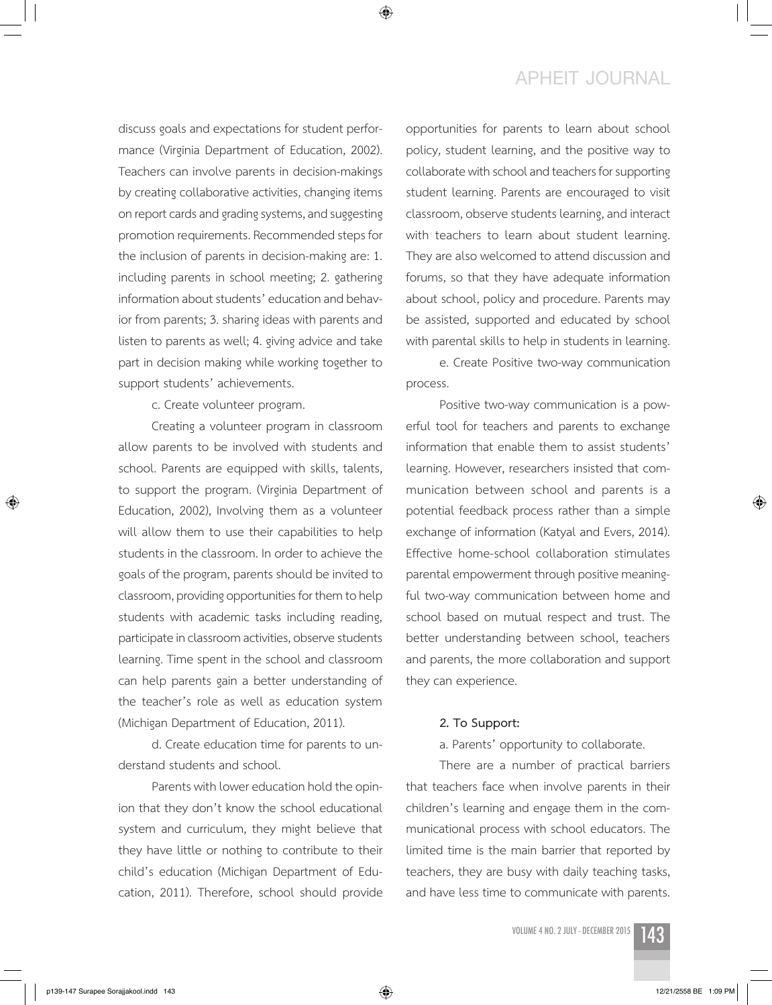# **APHEIT JOURNAL**

discuss goals and expectations for student performance (Virginia Department of Education, 2002). Teachers can involve parents in decision-makings by creating collaborative activities, changing items on report cards and grading systems, and suggesting promotion requirements. Recommended steps for the inclusion of parents in decision-making are: 1. including parents in school meeting; 2. gathering information about students' education and behavior from parents; 3. sharing ideas with parents and listen to parents as well; 4. giving advice and take part in decision making while working together to support students' achievements.

c. Create volunteer program.

Creating a volunteer program in classroom allow parents to be involved with students and school. Parents are equipped with skills, talents, to support the program. (Virginia Department of Education, 2002), Involving them as a volunteer will allow them to use their capabilities to help students in the classroom. In order to achieve the goals of the program, parents should be invited to classroom, providing opportunities for them to help students with academic tasks including reading, participate in classroom activities, observe students learning. Time spent in the school and classroom can help parents gain a better understanding of the teacher's role as well as education system (Michigan Department of Education, 2011).

d. Create education time for parents to understand students and school.

Parents with lower education hold the opinion that they don't know the school educational system and curriculum, they might believe that they have little or nothing to contribute to their child's education (Michigan Department of Education, 2011). Therefore, school should provide opportunities for parents to learn about school policy, student learning, and the positive way to collaborate with school and teachers for supporting student learning. Parents are encouraged to visit classroom, observe students learning, and interact with teachers to learn about student learning. They are also welcomed to attend discussion and forums, so that they have adequate information about school, policy and procedure. Parents may be assisted, supported and educated by school with parental skills to help in students in learning.

e. Create Positive two-way communication process.

Positive two-way communication is a powerful tool for teachers and parents to exchange information that enable them to assist students' learning. However, researchers insisted that communication between school and parents is a potential feedback process rather than a simple exchange of information (Katyal and Evers, 2014). Effective home-school collaboration stimulates parental empowerment through positive meaningful two-way communication between home and school based on mutual respect and trust. The better understanding between school, teachers and parents, the more collaboration and support they can experience.

#### **2. To Support:**

a. Parents' opportunity to collaborate.

There are a number of practical barriers that teachers face when involve parents in their children's learning and engage them in the communicational process with school educators. The limited time is the main barrier that reported by teachers, they are busy with daily teaching tasks, and have less time to communicate with parents.

volume 4 no. 2 july - december 2015 143



⊕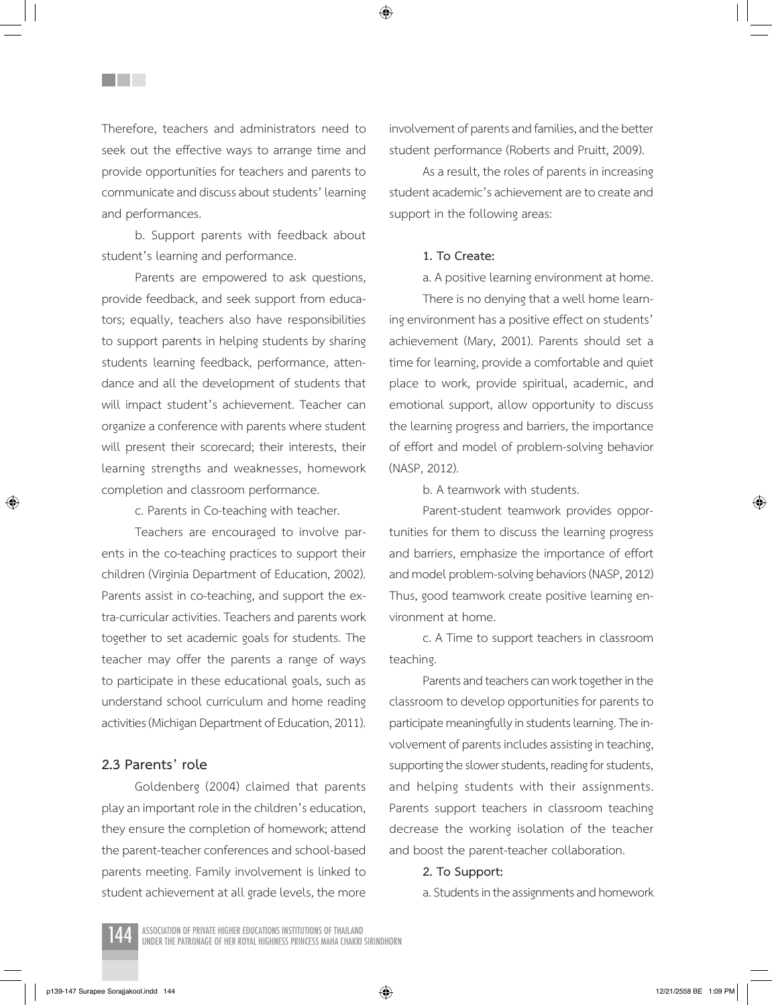Therefore, teachers and administrators need to seek out the effective ways to arrange time and provide opportunities for teachers and parents to communicate and discuss about students' learning and performances.

<u>Filmer</u>

b. Support parents with feedback about student's learning and performance.

Parents are empowered to ask questions, provide feedback, and seek support from educators; equally, teachers also have responsibilities to support parents in helping students by sharing students learning feedback, performance, attendance and all the development of students that will impact student's achievement. Teacher can organize a conference with parents where student will present their scorecard; their interests, their learning strengths and weaknesses, homework completion and classroom performance.

c. Parents in Co-teaching with teacher.

Teachers are encouraged to involve parents in the co-teaching practices to support their children (Virginia Department of Education, 2002). Parents assist in co-teaching, and support the extra-curricular activities. Teachers and parents work together to set academic goals for students. The teacher may offer the parents a range of ways to participate in these educational goals, such as understand school curriculum and home reading activities (Michigan Department of Education, 2011).

#### **2.3 Parents' role**

⊕

Goldenberg (2004) claimed that parents play an important role in the children's education, they ensure the completion of homework; attend the parent-teacher conferences and school-based parents meeting. Family involvement is linked to student achievement at all grade levels, the more involvement of parents and families, and the better student performance (Roberts and Pruitt, 2009).

As a result, the roles of parents in increasing student academic's achievement are to create and support in the following areas:

#### **1. To Create:**

a. A positive learning environment at home.

There is no denying that a well home learning environment has a positive effect on students' achievement (Mary, 2001). Parents should set a time for learning, provide a comfortable and quiet place to work, provide spiritual, academic, and emotional support, allow opportunity to discuss the learning progress and barriers, the importance of effort and model of problem-solving behavior (NASP, 2012).

b. A teamwork with students.

Parent-student teamwork provides opportunities for them to discuss the learning progress and barriers, emphasize the importance of effort and model problem-solving behaviors (NASP, 2012) Thus, good teamwork create positive learning environment at home.

c. A Time to support teachers in classroom teaching.

Parents and teachers can work together in the classroom to develop opportunities for parents to participate meaningfully in students learning. The involvement of parents includes assisting in teaching, supporting the slower students, reading for students, and helping students with their assignments. Parents support teachers in classroom teaching decrease the working isolation of the teacher and boost the parent-teacher collaboration.

#### **2. To Support:**

a. Students in the assignments and homework

⊕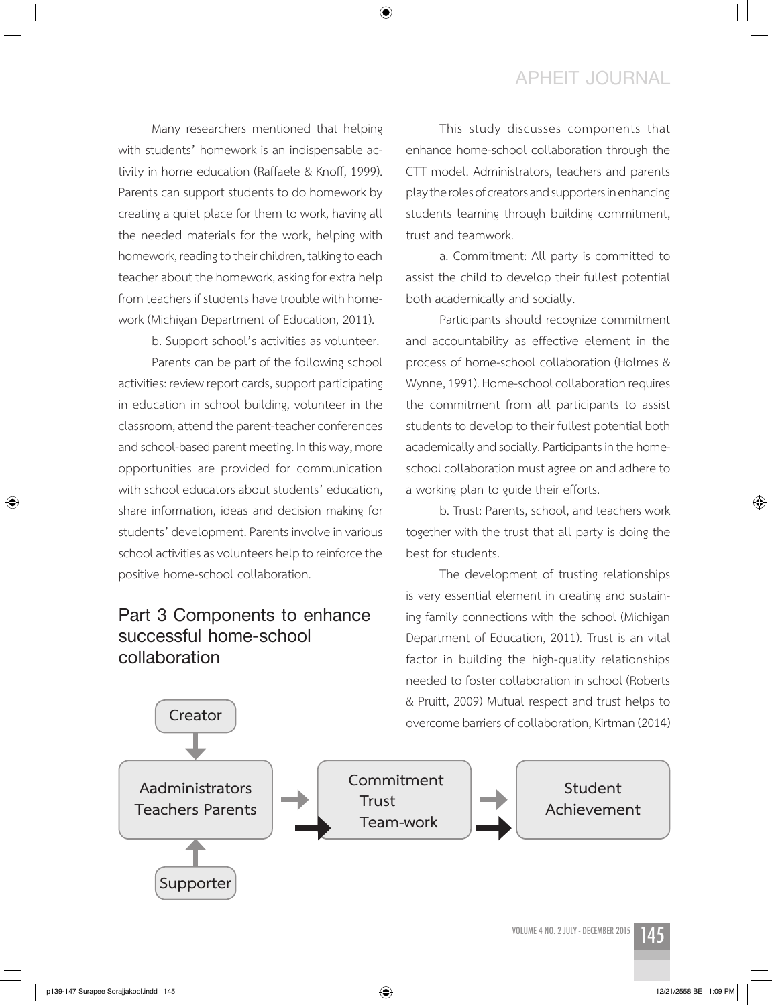### **APHEIT JOURNAL**

Many researchers mentioned that helping with students' homework is an indispensable activity in home education (Raffaele & Knoff, 1999). Parents can support students to do homework by creating a quiet place for them to work, having all the needed materials for the work, helping with homework, reading to their children, talking to each teacher about the homework, asking for extra help from teachers if students have trouble with homework (Michigan Department of Education, 2011).

b. Support school's activities as volunteer.

Parents can be part of the following school activities: review report cards, support participating in education in school building, volunteer in the classroom, attend the parent-teacher conferences and school-based parent meeting. In this way, more opportunities are provided for communication with school educators about students' education, share information, ideas and decision making for students' development. Parents involve in various school activities as volunteers help to reinforce the positive home-school collaboration.

# **Part 3 Components to enhance successful home-school collaboration**

This study discusses components that enhance home-school collaboration through the CTT model. Administrators, teachers and parents play the roles of creators and supporters in enhancing students learning through building commitment, trust and teamwork.

a. Commitment: All party is committed to assist the child to develop their fullest potential both academically and socially.

Participants should recognize commitment and accountability as effective element in the process of home-school collaboration (Holmes & Wynne, 1991). Home-school collaboration requires the commitment from all participants to assist students to develop to their fullest potential both academically and socially. Participants in the homeschool collaboration must agree on and adhere to a working plan to guide their efforts.

b. Trust: Parents, school, and teachers work together with the trust that all party is doing the best for students.

The development of trusting relationships is very essential element in creating and sustaining family connections with the school (Michigan Department of Education, 2011). Trust is an vital factor in building the high-quality relationships needed to foster collaboration in school (Roberts & Pruitt, 2009) Mutual respect and trust helps to overcome barriers of collaboration, Kirtman (2014) **Creator**



◈

 $\bigcirc$ 

⊕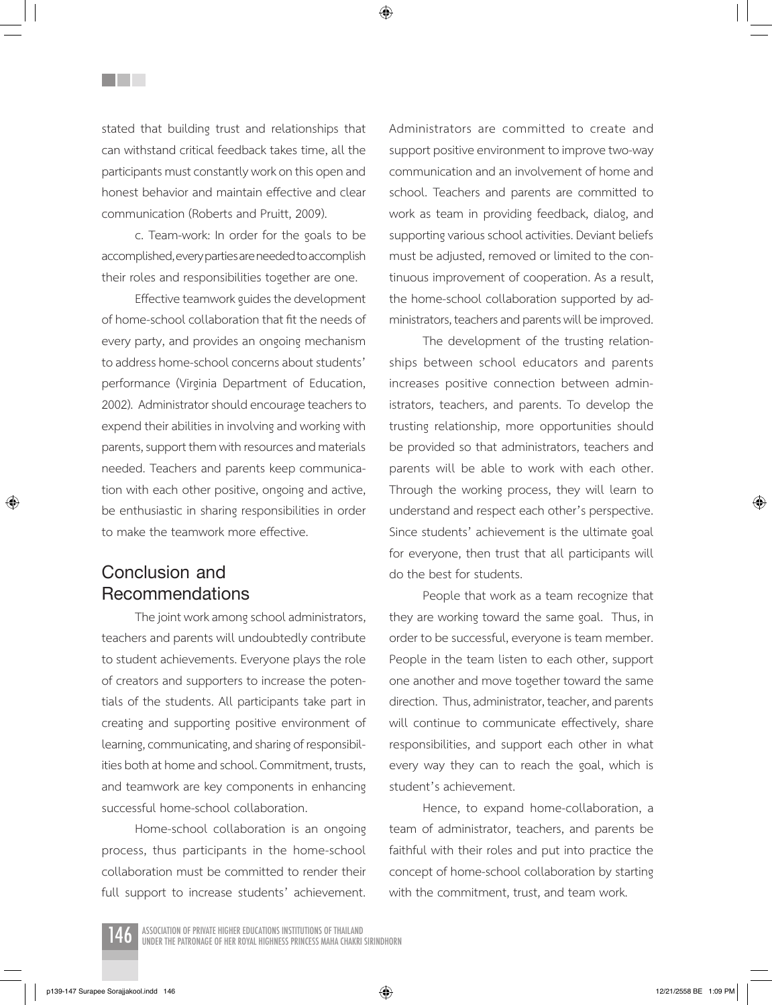stated that building trust and relationships that can withstand critical feedback takes time, all the participants must constantly work on this open and honest behavior and maintain effective and clear communication (Roberts and Pruitt, 2009).

<u>Filmer</u>

c. Team-work: In order for the goals to be accomplished, every parties are needed to accomplish their roles and responsibilities together are one.

Effective teamwork guides the development of home-school collaboration that fit the needs of every party, and provides an ongoing mechanism to address home-school concerns about students' performance (Virginia Department of Education, 2002). Administrator should encourage teachers to expend their abilities in involving and working with parents, support them with resources and materials needed. Teachers and parents keep communication with each other positive, ongoing and active, be enthusiastic in sharing responsibilities in order to make the teamwork more effective.

# **Conclusion and Recommendations**

⊕

The joint work among school administrators, teachers and parents will undoubtedly contribute to student achievements. Everyone plays the role of creators and supporters to increase the potentials of the students. All participants take part in creating and supporting positive environment of learning, communicating, and sharing of responsibilities both at home and school. Commitment, trusts, and teamwork are key components in enhancing successful home-school collaboration.

Home-school collaboration is an ongoing process, thus participants in the home-school collaboration must be committed to render their full support to increase students' achievement. Administrators are committed to create and support positive environment to improve two-way communication and an involvement of home and school. Teachers and parents are committed to work as team in providing feedback, dialog, and supporting various school activities. Deviant beliefs must be adjusted, removed or limited to the continuous improvement of cooperation. As a result, the home-school collaboration supported by administrators, teachers and parents will be improved.

The development of the trusting relationships between school educators and parents increases positive connection between administrators, teachers, and parents. To develop the trusting relationship, more opportunities should be provided so that administrators, teachers and parents will be able to work with each other. Through the working process, they will learn to understand and respect each other's perspective. Since students' achievement is the ultimate goal for everyone, then trust that all participants will do the best for students.

People that work as a team recognize that they are working toward the same goal. Thus, in order to be successful, everyone is team member. People in the team listen to each other, support one another and move together toward the same direction. Thus, administrator, teacher, and parents will continue to communicate effectively, share responsibilities, and support each other in what every way they can to reach the goal, which is student's achievement.

Hence, to expand home-collaboration, a team of administrator, teachers, and parents be faithful with their roles and put into practice the concept of home-school collaboration by starting with the commitment, trust, and team work.

↔